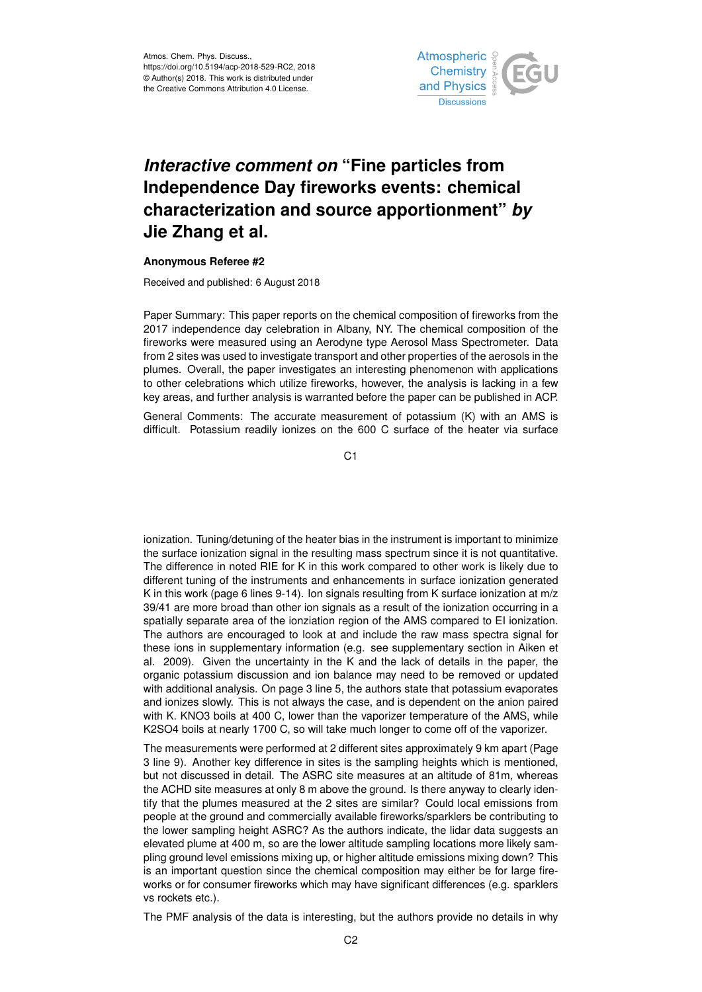

## *Interactive comment on* **"Fine particles from Independence Day fireworks events: chemical characterization and source apportionment"** *by* **Jie Zhang et al.**

## **Anonymous Referee #2**

Received and published: 6 August 2018

Paper Summary: This paper reports on the chemical composition of fireworks from the 2017 independence day celebration in Albany, NY. The chemical composition of the fireworks were measured using an Aerodyne type Aerosol Mass Spectrometer. Data from 2 sites was used to investigate transport and other properties of the aerosols in the plumes. Overall, the paper investigates an interesting phenomenon with applications to other celebrations which utilize fireworks, however, the analysis is lacking in a few key areas, and further analysis is warranted before the paper can be published in ACP.

General Comments: The accurate measurement of potassium (K) with an AMS is difficult. Potassium readily ionizes on the 600 C surface of the heater via surface

C<sub>1</sub>

ionization. Tuning/detuning of the heater bias in the instrument is important to minimize the surface ionization signal in the resulting mass spectrum since it is not quantitative. The difference in noted RIE for K in this work compared to other work is likely due to different tuning of the instruments and enhancements in surface ionization generated K in this work (page 6 lines 9-14). Ion signals resulting from K surface ionization at m/z 39/41 are more broad than other ion signals as a result of the ionization occurring in a spatially separate area of the ionziation region of the AMS compared to EI ionization. The authors are encouraged to look at and include the raw mass spectra signal for these ions in supplementary information (e.g. see supplementary section in Aiken et al. 2009). Given the uncertainty in the K and the lack of details in the paper, the organic potassium discussion and ion balance may need to be removed or updated with additional analysis. On page 3 line 5, the authors state that potassium evaporates and ionizes slowly. This is not always the case, and is dependent on the anion paired with K. KNO3 boils at 400 C, lower than the vaporizer temperature of the AMS, while K2SO4 boils at nearly 1700 C, so will take much longer to come off of the vaporizer.

The measurements were performed at 2 different sites approximately 9 km apart (Page 3 line 9). Another key difference in sites is the sampling heights which is mentioned, but not discussed in detail. The ASRC site measures at an altitude of 81m, whereas the ACHD site measures at only 8 m above the ground. Is there anyway to clearly identify that the plumes measured at the 2 sites are similar? Could local emissions from people at the ground and commercially available fireworks/sparklers be contributing to the lower sampling height ASRC? As the authors indicate, the lidar data suggests an elevated plume at 400 m, so are the lower altitude sampling locations more likely sampling ground level emissions mixing up, or higher altitude emissions mixing down? This is an important question since the chemical composition may either be for large fireworks or for consumer fireworks which may have significant differences (e.g. sparklers vs rockets etc.).

The PMF analysis of the data is interesting, but the authors provide no details in why